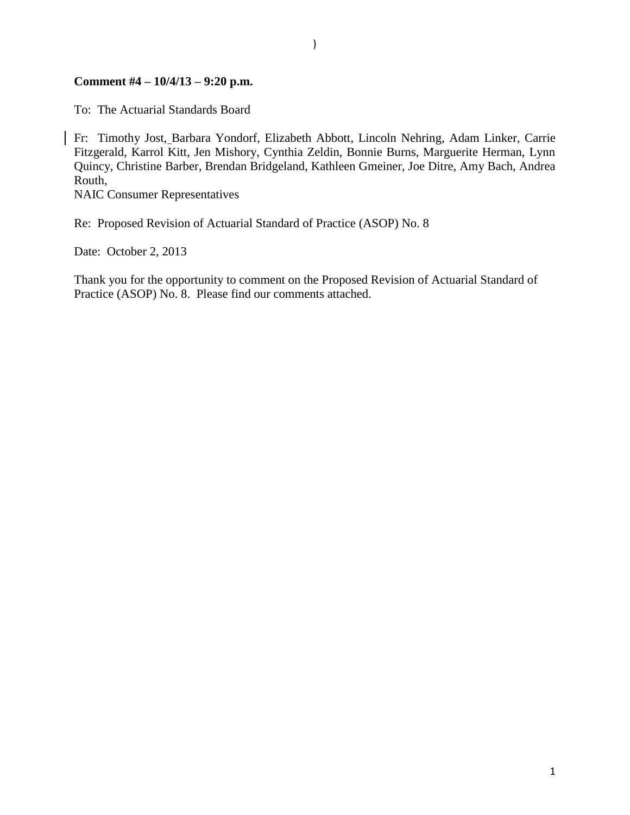#### **Comment #4 – 10/4/13 – 9:20 p.m.**

To: The Actuarial Standards Board

Fr: Timothy Jost, Barbara Yondorf, Elizabeth Abbott, Lincoln Nehring, Adam Linker, Carrie Fitzgerald, Karrol Kitt, Jen Mishory, Cynthia Zeldin, Bonnie Burns, Marguerite Herman, Lynn Quincy, Christine Barber, Brendan Bridgeland, Kathleen Gmeiner, Joe Ditre, Amy Bach, Andrea Routh,

NAIC Consumer Representatives

Re: Proposed Revision of Actuarial Standard of Practice (ASOP) No. 8

Date: October 2, 2013

Thank you for the opportunity to comment on the Proposed Revision of Actuarial Standard of Practice (ASOP) No. 8. Please find our comments attached.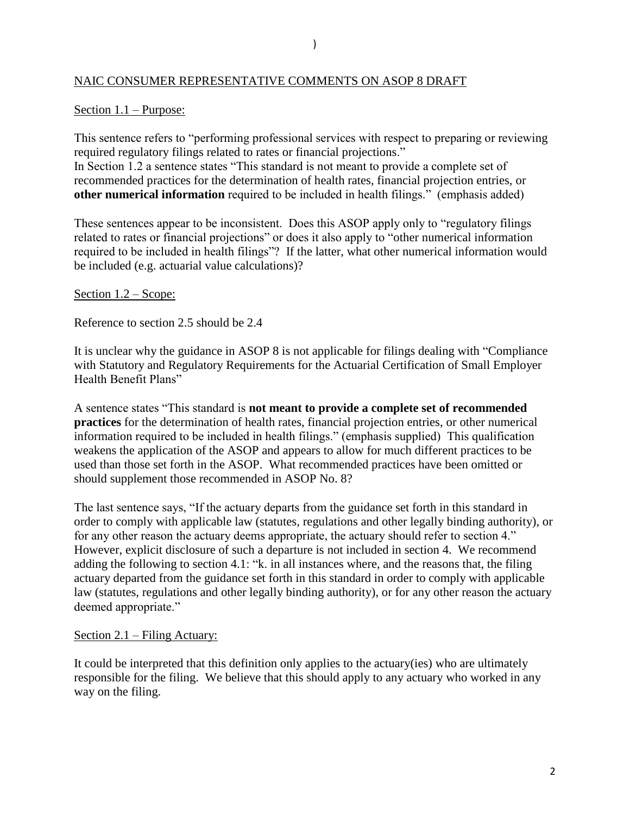#### NAIC CONSUMER REPRESENTATIVE COMMENTS ON ASOP 8 DRAFT

#### Section 1.1 – Purpose:

This sentence refers to "performing professional services with respect to preparing or reviewing required regulatory filings related to rates or financial projections." In Section 1.2 a sentence states "This standard is not meant to provide a complete set of recommended practices for the determination of health rates, financial projection entries, or **other numerical information** required to be included in health filings." (emphasis added)

These sentences appear to be inconsistent. Does this ASOP apply only to "regulatory filings related to rates or financial projections" or does it also apply to "other numerical information required to be included in health filings"? If the latter, what other numerical information would be included (e.g. actuarial value calculations)?

#### Section 1.2 – Scope:

Reference to section 2.5 should be 2.4

It is unclear why the guidance in ASOP 8 is not applicable for filings dealing with "Compliance with Statutory and Regulatory Requirements for the Actuarial Certification of Small Employer Health Benefit Plans"

A sentence states "This standard is **not meant to provide a complete set of recommended practices** for the determination of health rates, financial projection entries, or other numerical information required to be included in health filings." (emphasis supplied) This qualification weakens the application of the ASOP and appears to allow for much different practices to be used than those set forth in the ASOP. What recommended practices have been omitted or should supplement those recommended in ASOP No. 8?

The last sentence says, "If the actuary departs from the guidance set forth in this standard in order to comply with applicable law (statutes, regulations and other legally binding authority), or for any other reason the actuary deems appropriate, the actuary should refer to section 4." However, explicit disclosure of such a departure is not included in section 4. We recommend adding the following to section 4.1: "k. in all instances where, and the reasons that, the filing actuary departed from the guidance set forth in this standard in order to comply with applicable law (statutes, regulations and other legally binding authority), or for any other reason the actuary deemed appropriate."

#### Section 2.1 – Filing Actuary:

It could be interpreted that this definition only applies to the actuary(ies) who are ultimately responsible for the filing. We believe that this should apply to any actuary who worked in any way on the filing.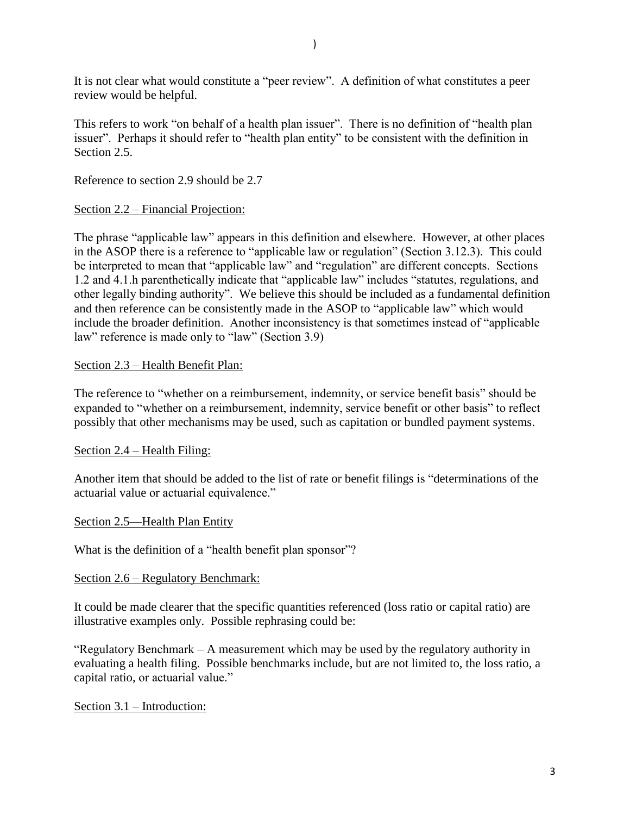It is not clear what would constitute a "peer review". A definition of what constitutes a peer review would be helpful.

This refers to work "on behalf of a health plan issuer". There is no definition of "health plan issuer". Perhaps it should refer to "health plan entity" to be consistent with the definition in Section 2.5.

Reference to section 2.9 should be 2.7

# Section 2.2 – Financial Projection:

The phrase "applicable law" appears in this definition and elsewhere. However, at other places in the ASOP there is a reference to "applicable law or regulation" (Section 3.12.3). This could be interpreted to mean that "applicable law" and "regulation" are different concepts. Sections 1.2 and 4.1.h parenthetically indicate that "applicable law" includes "statutes, regulations, and other legally binding authority". We believe this should be included as a fundamental definition and then reference can be consistently made in the ASOP to "applicable law" which would include the broader definition. Another inconsistency is that sometimes instead of "applicable law" reference is made only to "law" (Section 3.9)

## Section 2.3 – Health Benefit Plan:

The reference to "whether on a reimbursement, indemnity, or service benefit basis" should be expanded to "whether on a reimbursement, indemnity, service benefit or other basis" to reflect possibly that other mechanisms may be used, such as capitation or bundled payment systems.

# Section 2.4 – Health Filing:

Another item that should be added to the list of rate or benefit filings is "determinations of the actuarial value or actuarial equivalence."

### Section 2.5—Health Plan Entity

What is the definition of a "health benefit plan sponsor"?

### Section 2.6 – Regulatory Benchmark:

It could be made clearer that the specific quantities referenced (loss ratio or capital ratio) are illustrative examples only. Possible rephrasing could be:

"Regulatory Benchmark – A measurement which may be used by the regulatory authority in evaluating a health filing. Possible benchmarks include, but are not limited to, the loss ratio, a capital ratio, or actuarial value."

### Section 3.1 – Introduction: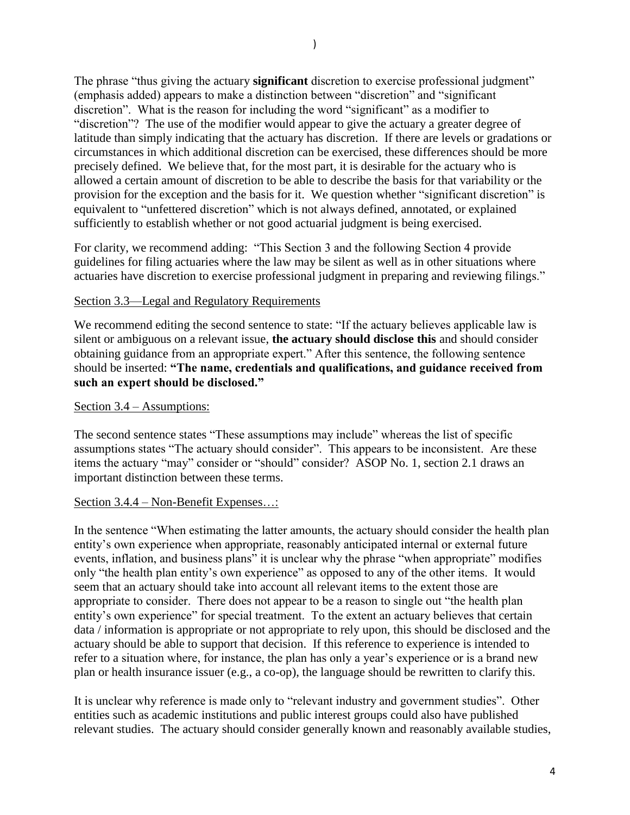The phrase "thus giving the actuary **significant** discretion to exercise professional judgment" (emphasis added) appears to make a distinction between "discretion" and "significant discretion". What is the reason for including the word "significant" as a modifier to "discretion"? The use of the modifier would appear to give the actuary a greater degree of latitude than simply indicating that the actuary has discretion. If there are levels or gradations or circumstances in which additional discretion can be exercised, these differences should be more precisely defined. We believe that, for the most part, it is desirable for the actuary who is allowed a certain amount of discretion to be able to describe the basis for that variability or the provision for the exception and the basis for it. We question whether "significant discretion" is equivalent to "unfettered discretion" which is not always defined, annotated, or explained sufficiently to establish whether or not good actuarial judgment is being exercised.

For clarity, we recommend adding: "This Section 3 and the following Section 4 provide guidelines for filing actuaries where the law may be silent as well as in other situations where actuaries have discretion to exercise professional judgment in preparing and reviewing filings."

## Section 3.3—Legal and Regulatory Requirements

We recommend editing the second sentence to state: "If the actuary believes applicable law is silent or ambiguous on a relevant issue, **the actuary should disclose this** and should consider obtaining guidance from an appropriate expert." After this sentence, the following sentence should be inserted: **"The name, credentials and qualifications, and guidance received from such an expert should be disclosed."**

### Section 3.4 – Assumptions:

The second sentence states "These assumptions may include" whereas the list of specific assumptions states "The actuary should consider". This appears to be inconsistent. Are these items the actuary "may" consider or "should" consider? ASOP No. 1, section 2.1 draws an important distinction between these terms.

### Section 3.4.4 – Non-Benefit Expenses…:

In the sentence "When estimating the latter amounts, the actuary should consider the health plan entity's own experience when appropriate, reasonably anticipated internal or external future events, inflation, and business plans" it is unclear why the phrase "when appropriate" modifies only "the health plan entity's own experience" as opposed to any of the other items. It would seem that an actuary should take into account all relevant items to the extent those are appropriate to consider. There does not appear to be a reason to single out "the health plan entity's own experience" for special treatment. To the extent an actuary believes that certain data / information is appropriate or not appropriate to rely upon, this should be disclosed and the actuary should be able to support that decision. If this reference to experience is intended to refer to a situation where, for instance, the plan has only a year's experience or is a brand new plan or health insurance issuer (e.g., a co-op), the language should be rewritten to clarify this.

It is unclear why reference is made only to "relevant industry and government studies". Other entities such as academic institutions and public interest groups could also have published relevant studies. The actuary should consider generally known and reasonably available studies,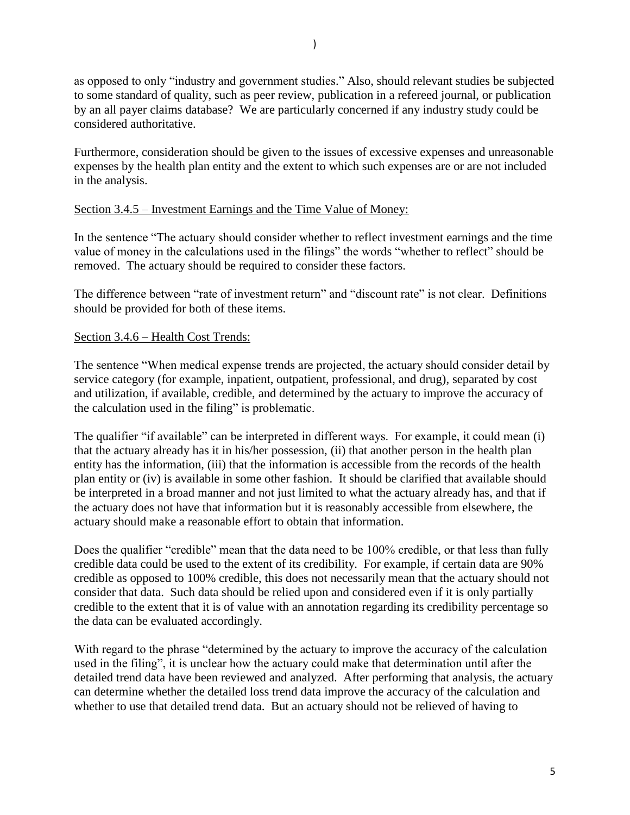as opposed to only "industry and government studies." Also, should relevant studies be subjected to some standard of quality, such as peer review, publication in a refereed journal, or publication by an all payer claims database? We are particularly concerned if any industry study could be considered authoritative.

Furthermore, consideration should be given to the issues of excessive expenses and unreasonable expenses by the health plan entity and the extent to which such expenses are or are not included in the analysis.

# Section 3.4.5 – Investment Earnings and the Time Value of Money:

In the sentence "The actuary should consider whether to reflect investment earnings and the time value of money in the calculations used in the filings" the words "whether to reflect" should be removed. The actuary should be required to consider these factors.

The difference between "rate of investment return" and "discount rate" is not clear. Definitions should be provided for both of these items.

## Section 3.4.6 – Health Cost Trends:

The sentence "When medical expense trends are projected, the actuary should consider detail by service category (for example, inpatient, outpatient, professional, and drug), separated by cost and utilization, if available, credible, and determined by the actuary to improve the accuracy of the calculation used in the filing" is problematic.

The qualifier "if available" can be interpreted in different ways. For example, it could mean (i) that the actuary already has it in his/her possession, (ii) that another person in the health plan entity has the information, (iii) that the information is accessible from the records of the health plan entity or (iv) is available in some other fashion. It should be clarified that available should be interpreted in a broad manner and not just limited to what the actuary already has, and that if the actuary does not have that information but it is reasonably accessible from elsewhere, the actuary should make a reasonable effort to obtain that information.

Does the qualifier "credible" mean that the data need to be 100% credible, or that less than fully credible data could be used to the extent of its credibility. For example, if certain data are 90% credible as opposed to 100% credible, this does not necessarily mean that the actuary should not consider that data. Such data should be relied upon and considered even if it is only partially credible to the extent that it is of value with an annotation regarding its credibility percentage so the data can be evaluated accordingly.

With regard to the phrase "determined by the actuary to improve the accuracy of the calculation used in the filing", it is unclear how the actuary could make that determination until after the detailed trend data have been reviewed and analyzed. After performing that analysis, the actuary can determine whether the detailed loss trend data improve the accuracy of the calculation and whether to use that detailed trend data. But an actuary should not be relieved of having to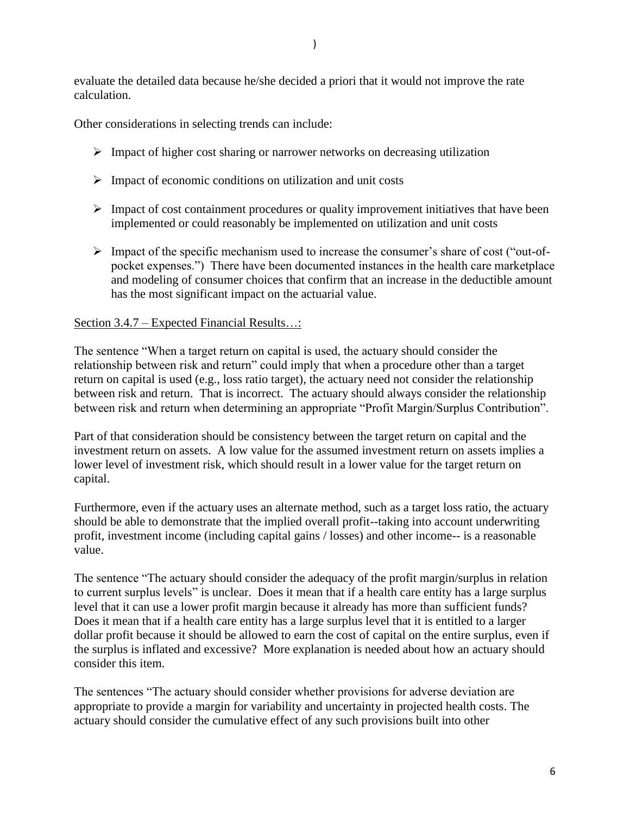evaluate the detailed data because he/she decided a priori that it would not improve the rate calculation.

Other considerations in selecting trends can include:

- $\triangleright$  Impact of higher cost sharing or narrower networks on decreasing utilization
- $\triangleright$  Impact of economic conditions on utilization and unit costs
- $\triangleright$  Impact of cost containment procedures or quality improvement initiatives that have been implemented or could reasonably be implemented on utilization and unit costs
- $\triangleright$  Impact of the specific mechanism used to increase the consumer's share of cost ("out-ofpocket expenses.") There have been documented instances in the health care marketplace and modeling of consumer choices that confirm that an increase in the deductible amount has the most significant impact on the actuarial value.

#### Section 3.4.7 – Expected Financial Results…:

The sentence "When a target return on capital is used, the actuary should consider the relationship between risk and return" could imply that when a procedure other than a target return on capital is used (e.g., loss ratio target), the actuary need not consider the relationship between risk and return. That is incorrect. The actuary should always consider the relationship between risk and return when determining an appropriate "Profit Margin/Surplus Contribution".

Part of that consideration should be consistency between the target return on capital and the investment return on assets. A low value for the assumed investment return on assets implies a lower level of investment risk, which should result in a lower value for the target return on capital.

Furthermore, even if the actuary uses an alternate method, such as a target loss ratio, the actuary should be able to demonstrate that the implied overall profit--taking into account underwriting profit, investment income (including capital gains / losses) and other income-- is a reasonable value.

The sentence "The actuary should consider the adequacy of the profit margin/surplus in relation to current surplus levels" is unclear. Does it mean that if a health care entity has a large surplus level that it can use a lower profit margin because it already has more than sufficient funds? Does it mean that if a health care entity has a large surplus level that it is entitled to a larger dollar profit because it should be allowed to earn the cost of capital on the entire surplus, even if the surplus is inflated and excessive? More explanation is needed about how an actuary should consider this item.

The sentences "The actuary should consider whether provisions for adverse deviation are appropriate to provide a margin for variability and uncertainty in projected health costs. The actuary should consider the cumulative effect of any such provisions built into other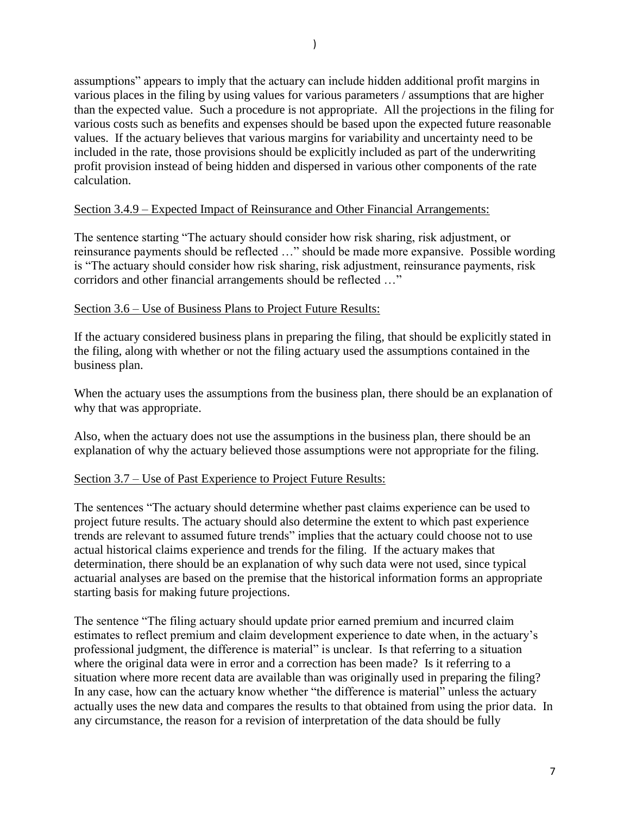assumptions" appears to imply that the actuary can include hidden additional profit margins in various places in the filing by using values for various parameters / assumptions that are higher than the expected value. Such a procedure is not appropriate. All the projections in the filing for various costs such as benefits and expenses should be based upon the expected future reasonable values. If the actuary believes that various margins for variability and uncertainty need to be included in the rate, those provisions should be explicitly included as part of the underwriting profit provision instead of being hidden and dispersed in various other components of the rate calculation.

# Section 3.4.9 – Expected Impact of Reinsurance and Other Financial Arrangements:

The sentence starting "The actuary should consider how risk sharing, risk adjustment, or reinsurance payments should be reflected …" should be made more expansive. Possible wording is "The actuary should consider how risk sharing, risk adjustment, reinsurance payments, risk corridors and other financial arrangements should be reflected …"

## Section 3.6 – Use of Business Plans to Project Future Results:

If the actuary considered business plans in preparing the filing, that should be explicitly stated in the filing, along with whether or not the filing actuary used the assumptions contained in the business plan.

When the actuary uses the assumptions from the business plan, there should be an explanation of why that was appropriate.

Also, when the actuary does not use the assumptions in the business plan, there should be an explanation of why the actuary believed those assumptions were not appropriate for the filing.

# Section 3.7 – Use of Past Experience to Project Future Results:

The sentences "The actuary should determine whether past claims experience can be used to project future results. The actuary should also determine the extent to which past experience trends are relevant to assumed future trends" implies that the actuary could choose not to use actual historical claims experience and trends for the filing. If the actuary makes that determination, there should be an explanation of why such data were not used, since typical actuarial analyses are based on the premise that the historical information forms an appropriate starting basis for making future projections.

The sentence "The filing actuary should update prior earned premium and incurred claim estimates to reflect premium and claim development experience to date when, in the actuary's professional judgment, the difference is material" is unclear. Is that referring to a situation where the original data were in error and a correction has been made? Is it referring to a situation where more recent data are available than was originally used in preparing the filing? In any case, how can the actuary know whether "the difference is material" unless the actuary actually uses the new data and compares the results to that obtained from using the prior data. In any circumstance, the reason for a revision of interpretation of the data should be fully